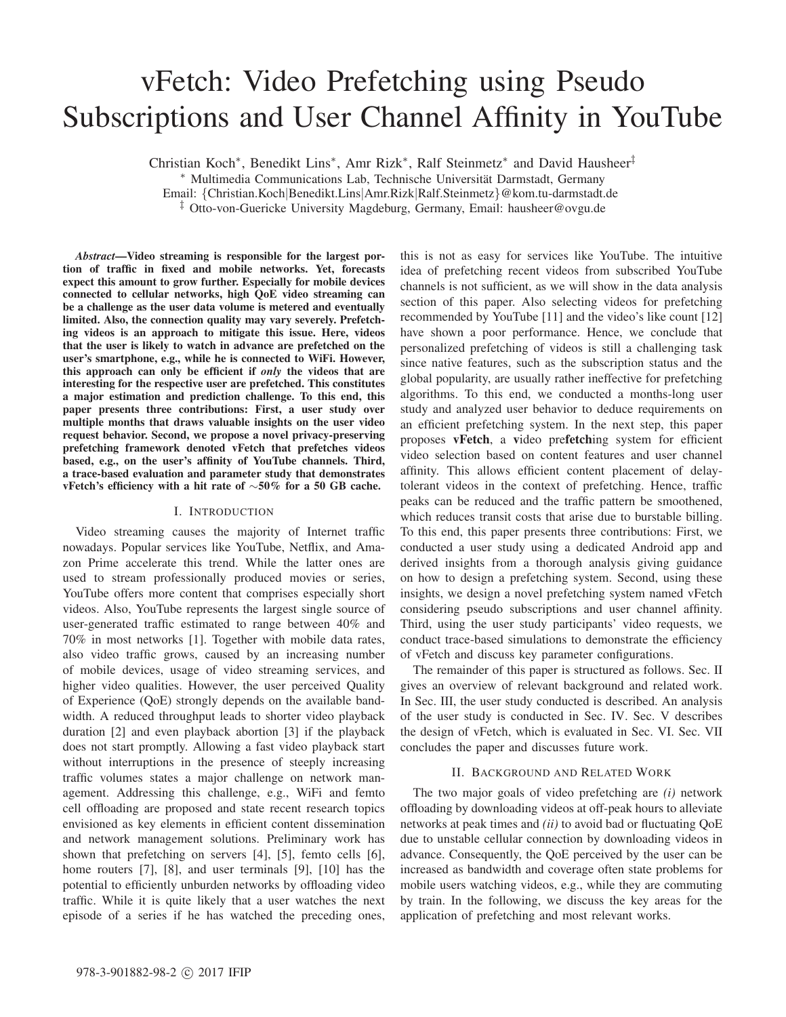Christian Koch, Benedikt Lins, Amr Rizk, Ralf Steinmetz and David Hausheer. vFetch: Video Prefetching using Pseudo Subscriptions and User Channel Affinity in YouTube In Proc. of the IEEE International Conference on Network and Service Management (CNSM), 2017

# vFetch: Video Prefetching using Pseudo Subscriptions and User Channel Affinity in YouTube

Christian Koch∗, Benedikt Lins∗, Amr Rizk∗, Ralf Steinmetz∗ and David Hausheer‡

∗ Multimedia Communications Lab, Technische Universitat Darmstadt, Germany ¨

Email: {Christian.Koch|Benedikt.Lins|Amr.Rizk|Ralf.Steinmetz}@kom.tu-darmstadt.de

‡ Otto-von-Guericke University Magdeburg, Germany, Email: hausheer@ovgu.de

*Abstract*—Video streaming is responsible for the largest portion of traffic in fixed and mobile networks. Yet, forecasts expect this amount to grow further. Especially for mobile devices connected to cellular networks, high QoE video streaming can be a challenge as the user data volume is metered and eventually limited. Also, the connection quality may vary severely. Prefetching videos is an approach to mitigate this issue. Here, videos that the user is likely to watch in advance are prefetched on the user's smartphone, e.g., while he is connected to WiFi. However, this approach can only be efficient if *only* the videos that are interesting for the respective user are prefetched. This constitutes a major estimation and prediction challenge. To this end, this paper presents three contributions: First, a user study over multiple months that draws valuable insights on the user video request behavior. Second, we propose a novel privacy-preserving prefetching framework denoted vFetch that prefetches videos based, e.g., on the user's affinity of YouTube channels. Third, a trace-based evaluation and parameter study that demonstrates vFetch's efficiency with a hit rate of ∼50% for a 50 GB cache.

## I. INTRODUCTION

Video streaming causes the majority of Internet traffic nowadays. Popular services like YouTube, Netflix, and Amazon Prime accelerate this trend. While the latter ones are used to stream professionally produced movies or series, YouTube offers more content that comprises especially short videos. Also, YouTube represents the largest single source of user-generated traffic estimated to range between 40% and 70% in most networks [1]. Together with mobile data rates, also video traffic grows, caused by an increasing number of mobile devices, usage of video streaming services, and higher video qualities. However, the user perceived Quality of Experience (QoE) strongly depends on the available bandwidth. A reduced throughput leads to shorter video playback duration [2] and even playback abortion [3] if the playback does not start promptly. Allowing a fast video playback start without interruptions in the presence of steeply increasing traffic volumes states a major challenge on network management. Addressing this challenge, e.g., WiFi and femto cell offloading are proposed and state recent research topics envisioned as key elements in efficient content dissemination and network management solutions. Preliminary work has shown that prefetching on servers [4], [5], femto cells [6], home routers [7], [8], and user terminals [9], [10] has the potential to efficiently unburden networks by offloading video traffic. While it is quite likely that a user watches the next episode of a series if he has watched the preceding ones,

this is not as easy for services like YouTube. The intuitive idea of prefetching recent videos from subscribed YouTube channels is not sufficient, as we will show in the data analysis section of this paper. Also selecting videos for prefetching recommended by YouTube [11] and the video's like count [12] have shown a poor performance. Hence, we conclude that personalized prefetching of videos is still a challenging task since native features, such as the subscription status and the global popularity, are usually rather ineffective for prefetching algorithms. To this end, we conducted a months-long user study and analyzed user behavior to deduce requirements on an efficient prefetching system. In the next step, this paper proposes vFetch, a video prefetching system for efficient video selection based on content features and user channel affinity. This allows efficient content placement of delaytolerant videos in the context of prefetching. Hence, traffic peaks can be reduced and the traffic pattern be smoothened, which reduces transit costs that arise due to burstable billing. To this end, this paper presents three contributions: First, we conducted a user study using a dedicated Android app and derived insights from a thorough analysis giving guidance on how to design a prefetching system. Second, using these insights, we design a novel prefetching system named vFetch considering pseudo subscriptions and user channel affinity. Third, using the user study participants' video requests, we conduct trace-based simulations to demonstrate the efficiency of vFetch and discuss key parameter configurations.

The remainder of this paper is structured as follows. Sec. II gives an overview of relevant background and related work. In Sec. III, the user study conducted is described. An analysis of the user study is conducted in Sec. IV. Sec. V describes the design of vFetch, which is evaluated in Sec. VI. Sec. VII concludes the paper and discusses future work.

# II. BACKGROUND AND RELATED WORK

The two major goals of video prefetching are *(i)* network offloading by downloading videos at off-peak hours to alleviate networks at peak times and *(ii)* to avoid bad or fluctuating QoE due to unstable cellular connection by downloading videos in advance. Consequently, the QoE perceived by the user can be increased as bandwidth and coverage often state problems for mobile users watching videos, e.g., while they are commuting by train. In the following, we discuss the key areas for the application of prefetching and most relevant works.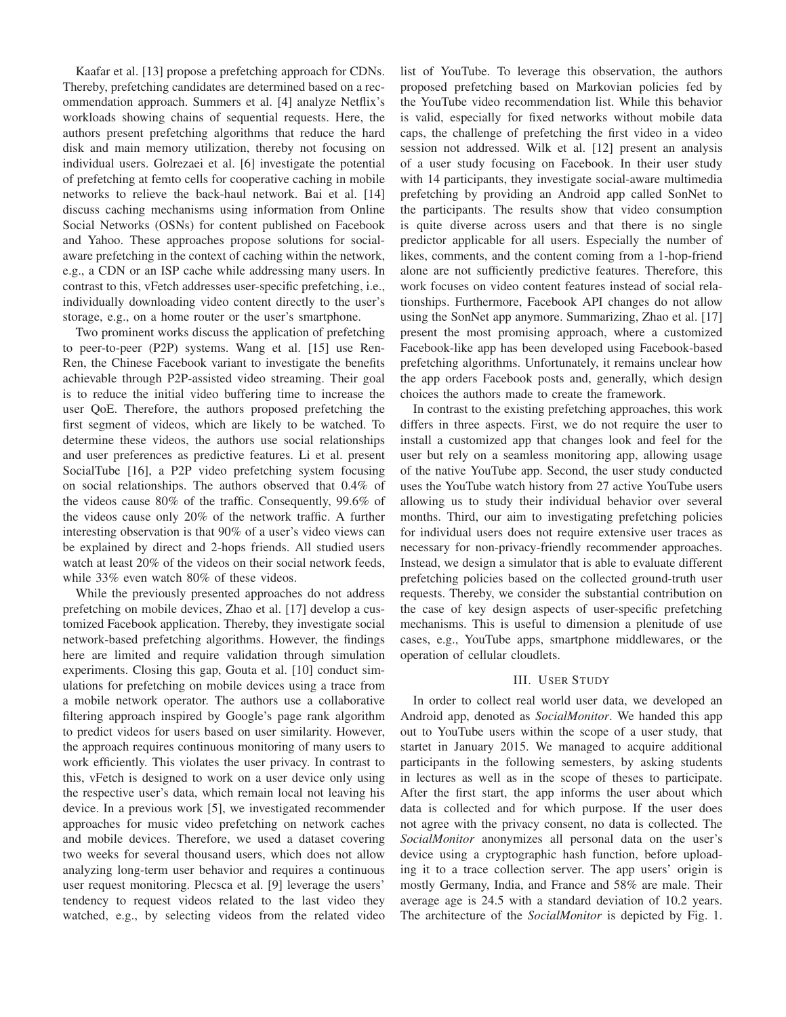Kaafar et al. [13] propose a prefetching approach for CDNs. Thereby, prefetching candidates are determined based on a recommendation approach. Summers et al. [4] analyze Netflix's workloads showing chains of sequential requests. Here, the authors present prefetching algorithms that reduce the hard disk and main memory utilization, thereby not focusing on individual users. Golrezaei et al. [6] investigate the potential of prefetching at femto cells for cooperative caching in mobile networks to relieve the back-haul network. Bai et al. [14] discuss caching mechanisms using information from Online Social Networks (OSNs) for content published on Facebook and Yahoo. These approaches propose solutions for socialaware prefetching in the context of caching within the network, e.g., a CDN or an ISP cache while addressing many users. In contrast to this, vFetch addresses user-specific prefetching, i.e., individually downloading video content directly to the user's storage, e.g., on a home router or the user's smartphone.

Two prominent works discuss the application of prefetching to peer-to-peer (P2P) systems. Wang et al. [15] use Ren-Ren, the Chinese Facebook variant to investigate the benefits achievable through P2P-assisted video streaming. Their goal is to reduce the initial video buffering time to increase the user QoE. Therefore, the authors proposed prefetching the first segment of videos, which are likely to be watched. To determine these videos, the authors use social relationships and user preferences as predictive features. Li et al. present SocialTube [16], a P2P video prefetching system focusing on social relationships. The authors observed that 0.4% of the videos cause 80% of the traffic. Consequently, 99.6% of the videos cause only 20% of the network traffic. A further interesting observation is that 90% of a user's video views can be explained by direct and 2-hops friends. All studied users watch at least 20% of the videos on their social network feeds, while 33% even watch 80% of these videos.

While the previously presented approaches do not address prefetching on mobile devices, Zhao et al. [17] develop a customized Facebook application. Thereby, they investigate social network-based prefetching algorithms. However, the findings here are limited and require validation through simulation experiments. Closing this gap, Gouta et al. [10] conduct simulations for prefetching on mobile devices using a trace from a mobile network operator. The authors use a collaborative filtering approach inspired by Google's page rank algorithm to predict videos for users based on user similarity. However, the approach requires continuous monitoring of many users to work efficiently. This violates the user privacy. In contrast to this, vFetch is designed to work on a user device only using the respective user's data, which remain local not leaving his device. In a previous work [5], we investigated recommender approaches for music video prefetching on network caches and mobile devices. Therefore, we used a dataset covering two weeks for several thousand users, which does not allow analyzing long-term user behavior and requires a continuous user request monitoring. Plecsca et al. [9] leverage the users' tendency to request videos related to the last video they watched, e.g., by selecting videos from the related video list of YouTube. To leverage this observation, the authors proposed prefetching based on Markovian policies fed by the YouTube video recommendation list. While this behavior is valid, especially for fixed networks without mobile data caps, the challenge of prefetching the first video in a video session not addressed. Wilk et al. [12] present an analysis of a user study focusing on Facebook. In their user study with 14 participants, they investigate social-aware multimedia prefetching by providing an Android app called SonNet to the participants. The results show that video consumption is quite diverse across users and that there is no single predictor applicable for all users. Especially the number of likes, comments, and the content coming from a 1-hop-friend alone are not sufficiently predictive features. Therefore, this work focuses on video content features instead of social relationships. Furthermore, Facebook API changes do not allow using the SonNet app anymore. Summarizing, Zhao et al. [17] present the most promising approach, where a customized Facebook-like app has been developed using Facebook-based prefetching algorithms. Unfortunately, it remains unclear how the app orders Facebook posts and, generally, which design choices the authors made to create the framework.

In contrast to the existing prefetching approaches, this work differs in three aspects. First, we do not require the user to install a customized app that changes look and feel for the user but rely on a seamless monitoring app, allowing usage of the native YouTube app. Second, the user study conducted uses the YouTube watch history from 27 active YouTube users allowing us to study their individual behavior over several months. Third, our aim to investigating prefetching policies for individual users does not require extensive user traces as necessary for non-privacy-friendly recommender approaches. Instead, we design a simulator that is able to evaluate different prefetching policies based on the collected ground-truth user requests. Thereby, we consider the substantial contribution on the case of key design aspects of user-specific prefetching mechanisms. This is useful to dimension a plenitude of use cases, e.g., YouTube apps, smartphone middlewares, or the operation of cellular cloudlets.

#### III. USER STUDY

In order to collect real world user data, we developed an Android app, denoted as *SocialMonitor*. We handed this app out to YouTube users within the scope of a user study, that startet in January 2015. We managed to acquire additional participants in the following semesters, by asking students in lectures as well as in the scope of theses to participate. After the first start, the app informs the user about which data is collected and for which purpose. If the user does not agree with the privacy consent, no data is collected. The *SocialMonitor* anonymizes all personal data on the user's device using a cryptographic hash function, before uploading it to a trace collection server. The app users' origin is mostly Germany, India, and France and 58% are male. Their average age is 24.5 with a standard deviation of 10.2 years. The architecture of the *SocialMonitor* is depicted by Fig. 1.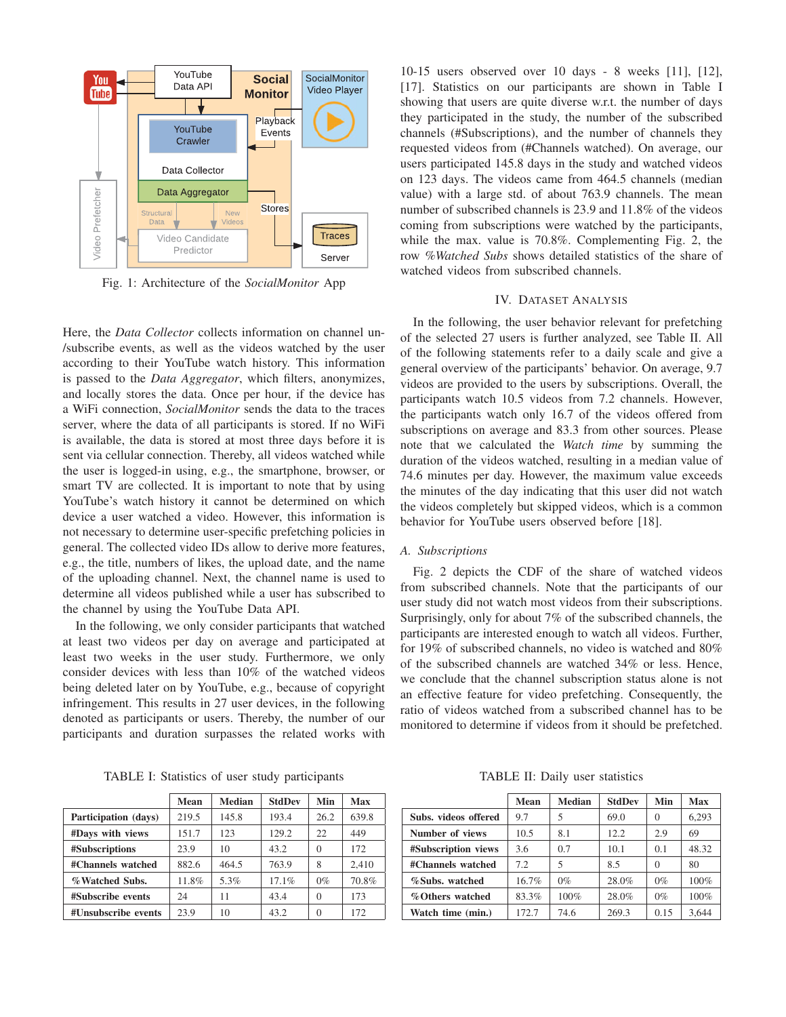

Fig. 1: Architecture of the *SocialMonitor* App

Here, the *Data Collector* collects information on channel un-/subscribe events, as well as the videos watched by the user according to their YouTube watch history. This information is passed to the *Data Aggregator*, which filters, anonymizes, and locally stores the data. Once per hour, if the device has a WiFi connection, *SocialMonitor* sends the data to the traces server, where the data of all participants is stored. If no WiFi is available, the data is stored at most three days before it is sent via cellular connection. Thereby, all videos watched while the user is logged-in using, e.g., the smartphone, browser, or smart TV are collected. It is important to note that by using YouTube's watch history it cannot be determined on which device a user watched a video. However, this information is not necessary to determine user-specific prefetching policies in general. The collected video IDs allow to derive more features, e.g., the title, numbers of likes, the upload date, and the name of the uploading channel. Next, the channel name is used to determine all videos published while a user has subscribed to the channel by using the YouTube Data API.

In the following, we only consider participants that watched at least two videos per day on average and participated at least two weeks in the user study. Furthermore, we only consider devices with less than 10% of the watched videos being deleted later on by YouTube, e.g., because of copyright infringement. This results in 27 user devices, in the following denoted as participants or users. Thereby, the number of our participants and duration surpasses the related works with

10-15 users observed over 10 days - 8 weeks [11], [12], [17]. Statistics on our participants are shown in Table I showing that users are quite diverse w.r.t. the number of days they participated in the study, the number of the subscribed channels (#Subscriptions), and the number of channels they requested videos from (#Channels watched). On average, our users participated 145.8 days in the study and watched videos on 123 days. The videos came from 464.5 channels (median value) with a large std. of about 763.9 channels. The mean number of subscribed channels is 23.9 and 11.8% of the videos coming from subscriptions were watched by the participants, while the max. value is 70.8%. Complementing Fig. 2, the row *%Watched Subs* shows detailed statistics of the share of watched videos from subscribed channels.

## IV. DATASET ANALYSIS

In the following, the user behavior relevant for prefetching of the selected 27 users is further analyzed, see Table II. All of the following statements refer to a daily scale and give a general overview of the participants' behavior. On average, 9.7 videos are provided to the users by subscriptions. Overall, the participants watch 10.5 videos from 7.2 channels. However, the participants watch only 16.7 of the videos offered from subscriptions on average and 83.3 from other sources. Please note that we calculated the *Watch time* by summing the duration of the videos watched, resulting in a median value of 74.6 minutes per day. However, the maximum value exceeds the minutes of the day indicating that this user did not watch the videos completely but skipped videos, which is a common behavior for YouTube users observed before [18].

#### *A. Subscriptions*

Fig. 2 depicts the CDF of the share of watched videos from subscribed channels. Note that the participants of our user study did not watch most videos from their subscriptions. Surprisingly, only for about 7% of the subscribed channels, the participants are interested enough to watch all videos. Further, for 19% of subscribed channels, no video is watched and 80% of the subscribed channels are watched 34% or less. Hence, we conclude that the channel subscription status alone is not an effective feature for video prefetching. Consequently, the ratio of videos watched from a subscribed channel has to be monitored to determine if videos from it should be prefetched.

TABLE I: Statistics of user study participants

|                      | Mean  | <b>Median</b> | <b>StdDev</b> | Min      | <b>Max</b> |
|----------------------|-------|---------------|---------------|----------|------------|
| Participation (days) | 219.5 | 145.8         | 193.4         | 26.2     | 639.8      |
| #Days with views     | 151.7 | 123           | 129.2         | 22       | 449        |
| #Subscriptions       | 23.9  | 10            | 43.2          | $\Omega$ | 172        |
| #Channels watched    | 882.6 | 464.5         | 763.9         | 8        | 2,410      |
| %Watched Subs.       | 11.8% | 5.3%          | 17.1%         | $0\%$    | 70.8%      |
| #Subscribe events    | 24    | 11            | 43.4          | $\Omega$ | 173        |
| #Unsubscribe events  | 23.9  | 10            | 43.2          | $\Omega$ | 172        |

TABLE II: Daily user statistics

|                      | Mean  | Median | <b>StdDev</b> | Min      | Max   |
|----------------------|-------|--------|---------------|----------|-------|
| Subs. videos offered | 9.7   | 5      | 69.0          | 0        | 6,293 |
| Number of views      | 10.5  | 8.1    | 12.2          | 2.9      | 69    |
| #Subscription views  | 3.6   | 0.7    | 10.1          | 0.1      | 48.32 |
| #Channels watched    | 7.2   | 5      | 8.5           | $\theta$ | 80    |
| %Subs. watched       | 16.7% | $0\%$  | 28.0%         | $0\%$    | 100%  |
| %Others watched      | 83.3% | 100%   | 28.0%         | $0\%$    | 100%  |
| Watch time (min.)    | 172.7 | 74.6   | 269.3         | 0.15     | 3,644 |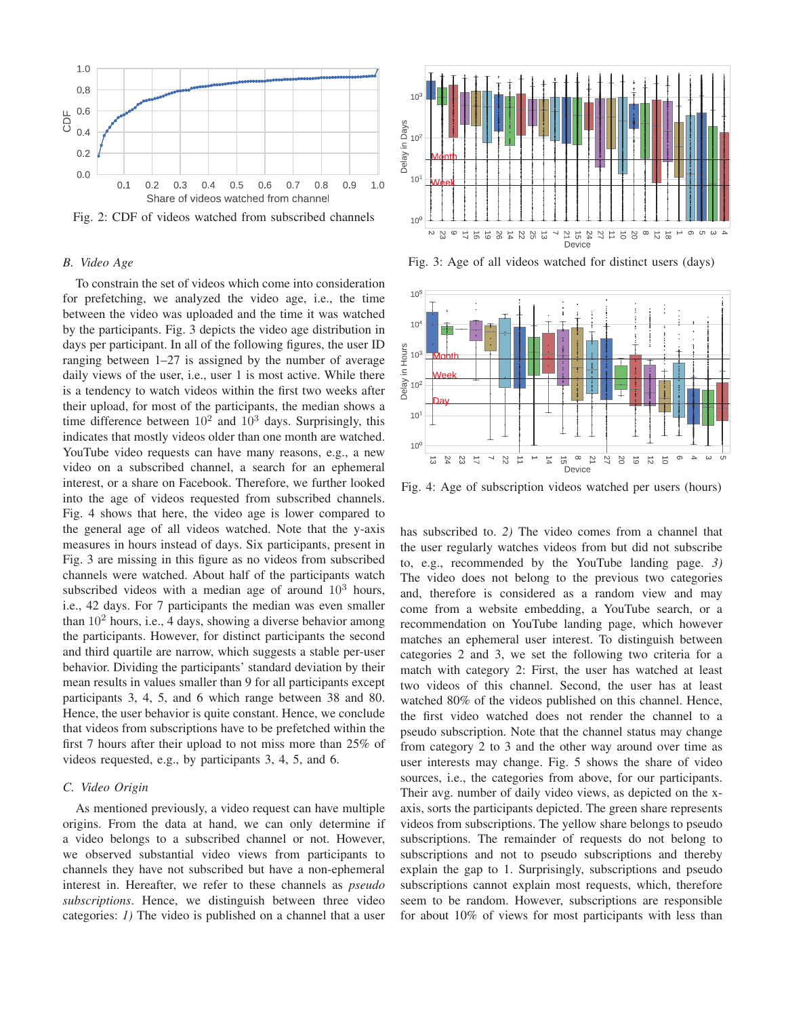

Fig. 2: CDF of videos watched from subscribed channels

# *B. Video Age*

To constrain the set of videos which come into consideration for prefetching, we analyzed the video age, i.e., the time between the video was uploaded and the time it was watched by the participants. Fig. 3 depicts the video age distribution in days per participant. In all of the following figures, the user ID ranging between 1–27 is assigned by the number of average daily views of the user, i.e., user 1 is most active. While there is a tendency to watch videos within the first two weeks after their upload, for most of the participants, the median shows a time difference between  $10^2$  and  $10^3$  days. Surprisingly, this indicates that mostly videos older than one month are watched. YouTube video requests can have many reasons, e.g., a new video on a subscribed channel, a search for an ephemeral interest, or a share on Facebook. Therefore, we further looked into the age of videos requested from subscribed channels. Fig. 4 shows that here, the video age is lower compared to the general age of all videos watched. Note that the y-axis measures in hours instead of days. Six participants, present in Fig. 3 are missing in this figure as no videos from subscribed channels were watched. About half of the participants watch subscribed videos with a median age of around  $10<sup>3</sup>$  hours, i.e., 42 days. For 7 participants the median was even smaller than  $10^2$  hours, i.e., 4 days, showing a diverse behavior among the participants. However, for distinct participants the second and third quartile are narrow, which suggests a stable per-user behavior. Dividing the participants' standard deviation by their mean results in values smaller than 9 for all participants except participants 3, 4, 5, and 6 which range between 38 and 80. Hence, the user behavior is quite constant. Hence, we conclude that videos from subscriptions have to be prefetched within the first 7 hours after their upload to not miss more than 25% of videos requested, e.g., by participants 3, 4, 5, and 6.

#### *C. Video Origin*

As mentioned previously, a video request can have multiple origins. From the data at hand, we can only determine if a video belongs to a subscribed channel or not. However, we observed substantial video views from participants to channels they have not subscribed but have a non-ephemeral interest in. Hereafter, we refer to these channels as *pseudo subscriptions*. Hence, we distinguish between three video categories: *1)* The video is published on a channel that a user



Fig. 3: Age of all videos watched for distinct users (days)



Fig. 4: Age of subscription videos watched per users (hours)

has subscribed to. *2)* The video comes from a channel that the user regularly watches videos from but did not subscribe to, e.g., recommended by the YouTube landing page. *3)* The video does not belong to the previous two categories and, therefore is considered as a random view and may come from a website embedding, a YouTube search, or a recommendation on YouTube landing page, which however matches an ephemeral user interest. To distinguish between categories 2 and 3, we set the following two criteria for a match with category 2: First, the user has watched at least two videos of this channel. Second, the user has at least watched 80% of the videos published on this channel. Hence, the first video watched does not render the channel to a pseudo subscription. Note that the channel status may change from category 2 to 3 and the other way around over time as user interests may change. Fig. 5 shows the share of video sources, i.e., the categories from above, for our participants. Their avg. number of daily video views, as depicted on the xaxis, sorts the participants depicted. The green share represents videos from subscriptions. The yellow share belongs to pseudo subscriptions. The remainder of requests do not belong to subscriptions and not to pseudo subscriptions and thereby explain the gap to 1. Surprisingly, subscriptions and pseudo subscriptions cannot explain most requests, which, therefore seem to be random. However, subscriptions are responsible for about 10% of views for most participants with less than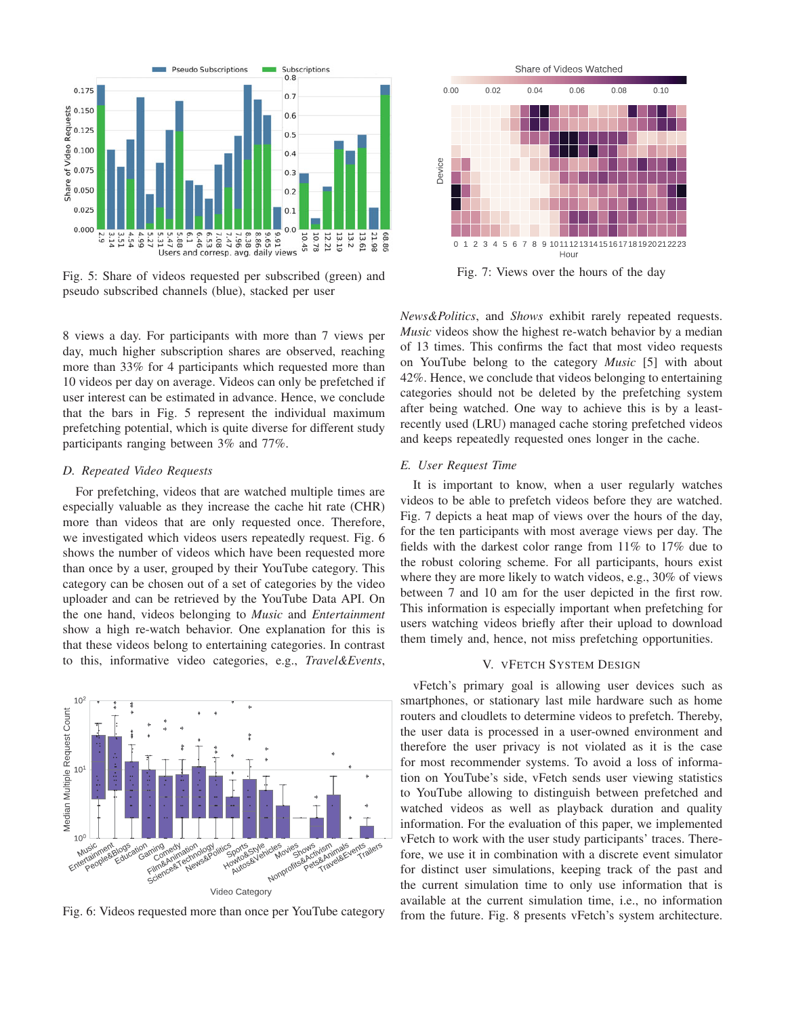

Fig. 5: Share of videos requested per subscribed (green) and pseudo subscribed channels (blue), stacked per user

8 views a day. For participants with more than 7 views per day, much higher subscription shares are observed, reaching more than 33% for 4 participants which requested more than 10 videos per day on average. Videos can only be prefetched if user interest can be estimated in advance. Hence, we conclude that the bars in Fig. 5 represent the individual maximum prefetching potential, which is quite diverse for different study participants ranging between 3% and 77%.

#### *D. Repeated Video Requests*

For prefetching, videos that are watched multiple times are especially valuable as they increase the cache hit rate (CHR) more than videos that are only requested once. Therefore, we investigated which videos users repeatedly request. Fig. 6 shows the number of videos which have been requested more than once by a user, grouped by their YouTube category. This category can be chosen out of a set of categories by the video uploader and can be retrieved by the YouTube Data API. On the one hand, videos belonging to *Music* and *Entertainment* show a high re-watch behavior. One explanation for this is that these videos belong to entertaining categories. In contrast to this, informative video categories, e.g., *Travel&Events*,



Fig. 6: Videos requested more than once per YouTube category



Fig. 7: Views over the hours of the day

*News&Politics*, and *Shows* exhibit rarely repeated requests. *Music* videos show the highest re-watch behavior by a median of 13 times. This confirms the fact that most video requests on YouTube belong to the category *Music* [5] with about 42%. Hence, we conclude that videos belonging to entertaining categories should not be deleted by the prefetching system after being watched. One way to achieve this is by a leastrecently used (LRU) managed cache storing prefetched videos and keeps repeatedly requested ones longer in the cache.

#### *E. User Request Time*

It is important to know, when a user regularly watches videos to be able to prefetch videos before they are watched. Fig. 7 depicts a heat map of views over the hours of the day, for the ten participants with most average views per day. The fields with the darkest color range from 11% to 17% due to the robust coloring scheme. For all participants, hours exist where they are more likely to watch videos, e.g., 30% of views between 7 and 10 am for the user depicted in the first row. This information is especially important when prefetching for users watching videos briefly after their upload to download them timely and, hence, not miss prefetching opportunities.

## V. VFETCH SYSTEM DESIGN

vFetch's primary goal is allowing user devices such as smartphones, or stationary last mile hardware such as home routers and cloudlets to determine videos to prefetch. Thereby, the user data is processed in a user-owned environment and therefore the user privacy is not violated as it is the case for most recommender systems. To avoid a loss of information on YouTube's side, vFetch sends user viewing statistics to YouTube allowing to distinguish between prefetched and watched videos as well as playback duration and quality information. For the evaluation of this paper, we implemented vFetch to work with the user study participants' traces. Therefore, we use it in combination with a discrete event simulator for distinct user simulations, keeping track of the past and the current simulation time to only use information that is available at the current simulation time, i.e., no information from the future. Fig. 8 presents vFetch's system architecture.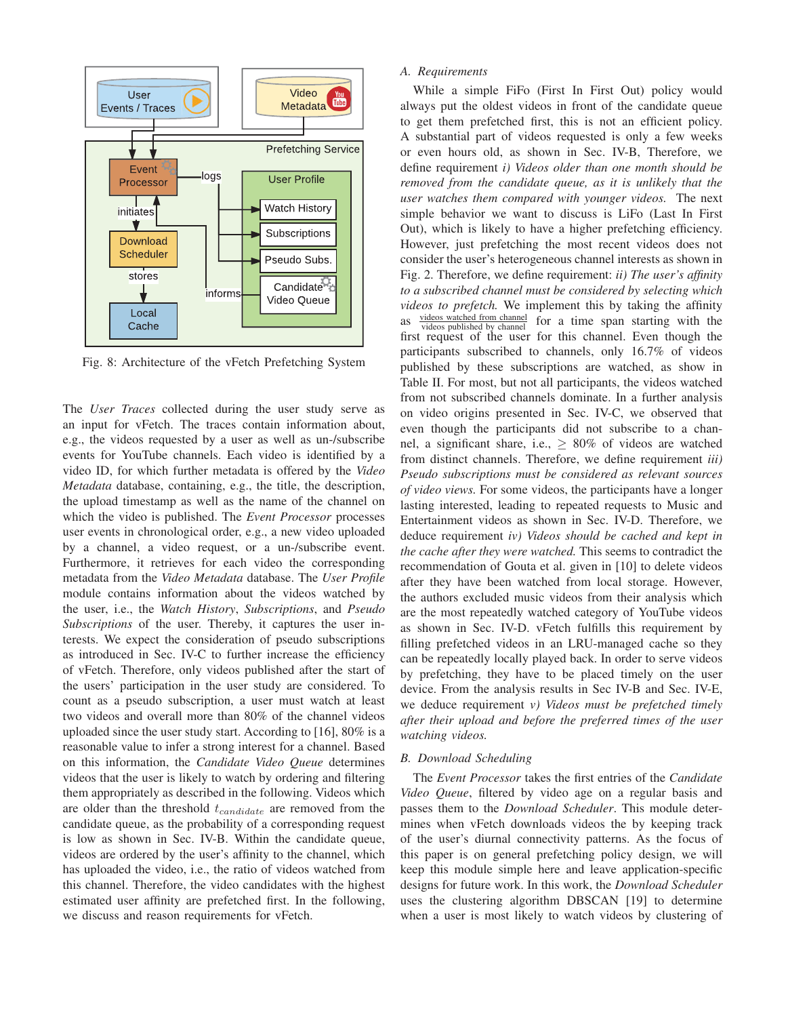

Fig. 8: Architecture of the vFetch Prefetching System

The *User Traces* collected during the user study serve as an input for vFetch. The traces contain information about, e.g., the videos requested by a user as well as un-/subscribe events for YouTube channels. Each video is identified by a video ID, for which further metadata is offered by the *Video Metadata* database, containing, e.g., the title, the description, the upload timestamp as well as the name of the channel on which the video is published. The *Event Processor* processes user events in chronological order, e.g., a new video uploaded by a channel, a video request, or a un-/subscribe event. Furthermore, it retrieves for each video the corresponding metadata from the *Video Metadata* database. The *User Profile* module contains information about the videos watched by the user, i.e., the *Watch History*, *Subscriptions*, and *Pseudo Subscriptions* of the user. Thereby, it captures the user interests. We expect the consideration of pseudo subscriptions as introduced in Sec. IV-C to further increase the efficiency of vFetch. Therefore, only videos published after the start of the users' participation in the user study are considered. To count as a pseudo subscription, a user must watch at least two videos and overall more than 80% of the channel videos uploaded since the user study start. According to [16], 80% is a reasonable value to infer a strong interest for a channel. Based on this information, the *Candidate Video Queue* determines videos that the user is likely to watch by ordering and filtering them appropriately as described in the following. Videos which are older than the threshold  $t_{candidate}$  are removed from the candidate queue, as the probability of a corresponding request is low as shown in Sec. IV-B. Within the candidate queue, videos are ordered by the user's affinity to the channel, which has uploaded the video, i.e., the ratio of videos watched from this channel. Therefore, the video candidates with the highest estimated user affinity are prefetched first. In the following, we discuss and reason requirements for vFetch.

#### *A. Requirements*

While a simple FiFo (First In First Out) policy would always put the oldest videos in front of the candidate queue to get them prefetched first, this is not an efficient policy. A substantial part of videos requested is only a few weeks or even hours old, as shown in Sec. IV-B, Therefore, we define requirement *i) Videos older than one month should be removed from the candidate queue, as it is unlikely that the user watches them compared with younger videos.* The next simple behavior we want to discuss is LiFo (Last In First Out), which is likely to have a higher prefetching efficiency. However, just prefetching the most recent videos does not consider the user's heterogeneous channel interests as shown in Fig. 2. Therefore, we define requirement: *ii) The user's affinity to a subscribed channel must be considered by selecting which videos to prefetch.* We implement this by taking the affinity as videos watched from channel for a time span starting with the first request of the user for this channel. Even though the participants subscribed to channels, only 16.7% of videos published by these subscriptions are watched, as show in Table II. For most, but not all participants, the videos watched from not subscribed channels dominate. In a further analysis on video origins presented in Sec. IV-C, we observed that even though the participants did not subscribe to a channel, a significant share, i.e.,  $\geq 80\%$  of videos are watched from distinct channels. Therefore, we define requirement *iii) Pseudo subscriptions must be considered as relevant sources of video views.* For some videos, the participants have a longer lasting interested, leading to repeated requests to Music and Entertainment videos as shown in Sec. IV-D. Therefore, we deduce requirement *iv) Videos should be cached and kept in the cache after they were watched.* This seems to contradict the recommendation of Gouta et al. given in [10] to delete videos after they have been watched from local storage. However, the authors excluded music videos from their analysis which are the most repeatedly watched category of YouTube videos as shown in Sec. IV-D. vFetch fulfills this requirement by filling prefetched videos in an LRU-managed cache so they can be repeatedly locally played back. In order to serve videos by prefetching, they have to be placed timely on the user device. From the analysis results in Sec IV-B and Sec. IV-E, we deduce requirement *v) Videos must be prefetched timely after their upload and before the preferred times of the user watching videos.*

#### *B. Download Scheduling*

The *Event Processor* takes the first entries of the *Candidate Video Queue*, filtered by video age on a regular basis and passes them to the *Download Scheduler*. This module determines when vFetch downloads videos the by keeping track of the user's diurnal connectivity patterns. As the focus of this paper is on general prefetching policy design, we will keep this module simple here and leave application-specific designs for future work. In this work, the *Download Scheduler* uses the clustering algorithm DBSCAN [19] to determine when a user is most likely to watch videos by clustering of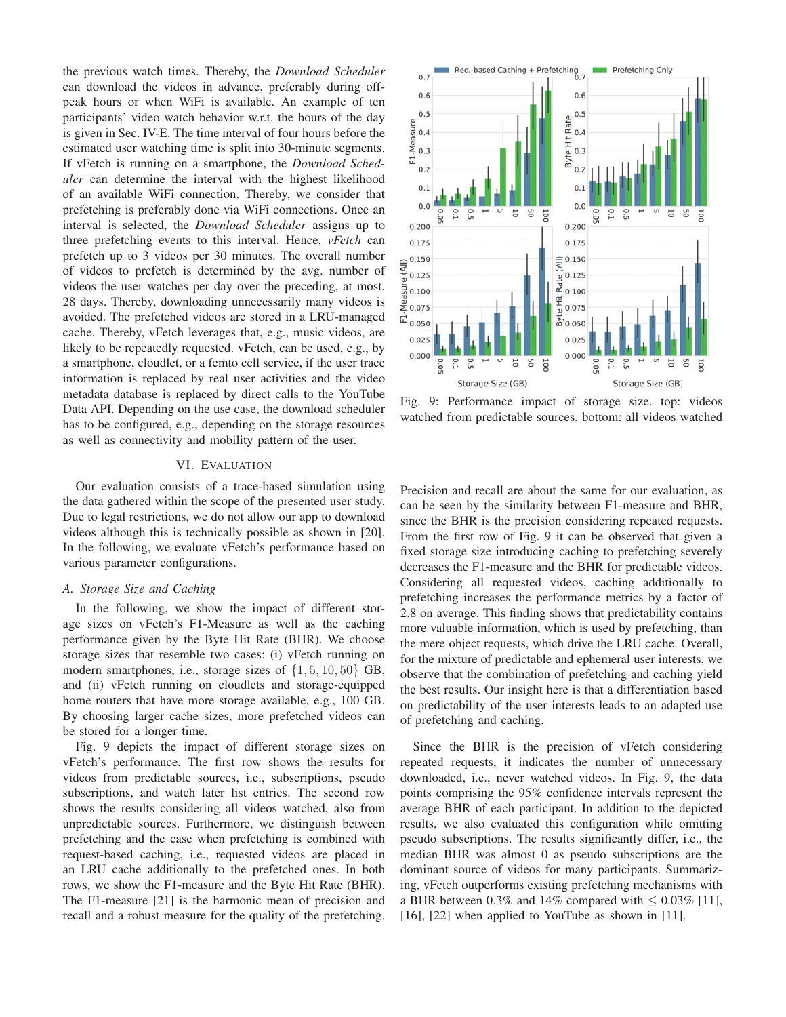the previous watch times. Thereby, the *Download Scheduler* can download the videos in advance, preferably during offpeak hours or when WiFi is available. An example of ten participants' video watch behavior w.r.t. the hours of the day is given in Sec. IV-E. The time interval of four hours before the estimated user watching time is split into 30-minute segments. If vFetch is running on a smartphone, the *Download Scheduler* can determine the interval with the highest likelihood of an available WiFi connection. Thereby, we consider that prefetching is preferably done via WiFi connections. Once an interval is selected, the *Download Scheduler* assigns up to three prefetching events to this interval. Hence, *vFetch* can prefetch up to 3 videos per 30 minutes. The overall number of videos to prefetch is determined by the avg. number of videos the user watches per day over the preceding, at most, 28 days. Thereby, downloading unnecessarily many videos is avoided. The prefetched videos are stored in a LRU-managed cache. Thereby, vFetch leverages that, e.g., music videos, are likely to be repeatedly requested. vFetch, can be used, e.g., by a smartphone, cloudlet, or a femto cell service, if the user trace information is replaced by real user activities and the video metadata database is replaced by direct calls to the YouTube Data API. Depending on the use case, the download scheduler has to be configured, e.g., depending on the storage resources as well as connectivity and mobility pattern of the user.

# VI. EVALUATION

Our evaluation consists of a trace-based simulation using the data gathered within the scope of the presented user study. Due to legal restrictions, we do not allow our app to download videos although this is technically possible as shown in [20]. In the following, we evaluate vFetch's performance based on various parameter configurations.

## *A. Storage Size and Caching*

In the following, we show the impact of different storage sizes on vFetch's F1-Measure as well as the caching performance given by the Byte Hit Rate (BHR). We choose storage sizes that resemble two cases: (i) vFetch running on modern smartphones, i.e., storage sizes of  $\{1, 5, 10, 50\}$  GB, and (ii) vFetch running on cloudlets and storage-equipped home routers that have more storage available, e.g., 100 GB. By choosing larger cache sizes, more prefetched videos can be stored for a longer time.

Fig. 9 depicts the impact of different storage sizes on vFetch's performance. The first row shows the results for videos from predictable sources, i.e., subscriptions, pseudo subscriptions, and watch later list entries. The second row shows the results considering all videos watched, also from unpredictable sources. Furthermore, we distinguish between prefetching and the case when prefetching is combined with request-based caching, i.e., requested videos are placed in an LRU cache additionally to the prefetched ones. In both rows, we show the F1-measure and the Byte Hit Rate (BHR). The F1-measure [21] is the harmonic mean of precision and recall and a robust measure for the quality of the prefetching.



Fig. 9: Performance impact of storage size. top: videos watched from predictable sources, bottom: all videos watched

Precision and recall are about the same for our evaluation, as can be seen by the similarity between F1-measure and BHR, since the BHR is the precision considering repeated requests. From the first row of Fig. 9 it can be observed that given a fixed storage size introducing caching to prefetching severely decreases the F1-measure and the BHR for predictable videos. Considering all requested videos, caching additionally to prefetching increases the performance metrics by a factor of 2.8 on average. This finding shows that predictability contains more valuable information, which is used by prefetching, than the mere object requests, which drive the LRU cache. Overall, for the mixture of predictable and ephemeral user interests, we observe that the combination of prefetching and caching yield the best results. Our insight here is that a differentiation based on predictability of the user interests leads to an adapted use of prefetching and caching.

Since the BHR is the precision of vFetch considering repeated requests, it indicates the number of unnecessary downloaded, i.e., never watched videos. In Fig. 9, the data points comprising the 95% confidence intervals represent the average BHR of each participant. In addition to the depicted results, we also evaluated this configuration while omitting pseudo subscriptions. The results significantly differ, i.e., the median BHR was almost 0 as pseudo subscriptions are the dominant source of videos for many participants. Summarizing, vFetch outperforms existing prefetching mechanisms with a BHR between 0.3% and 14% compared with  $\leq 0.03\%$  [11], [16], [22] when applied to YouTube as shown in [11].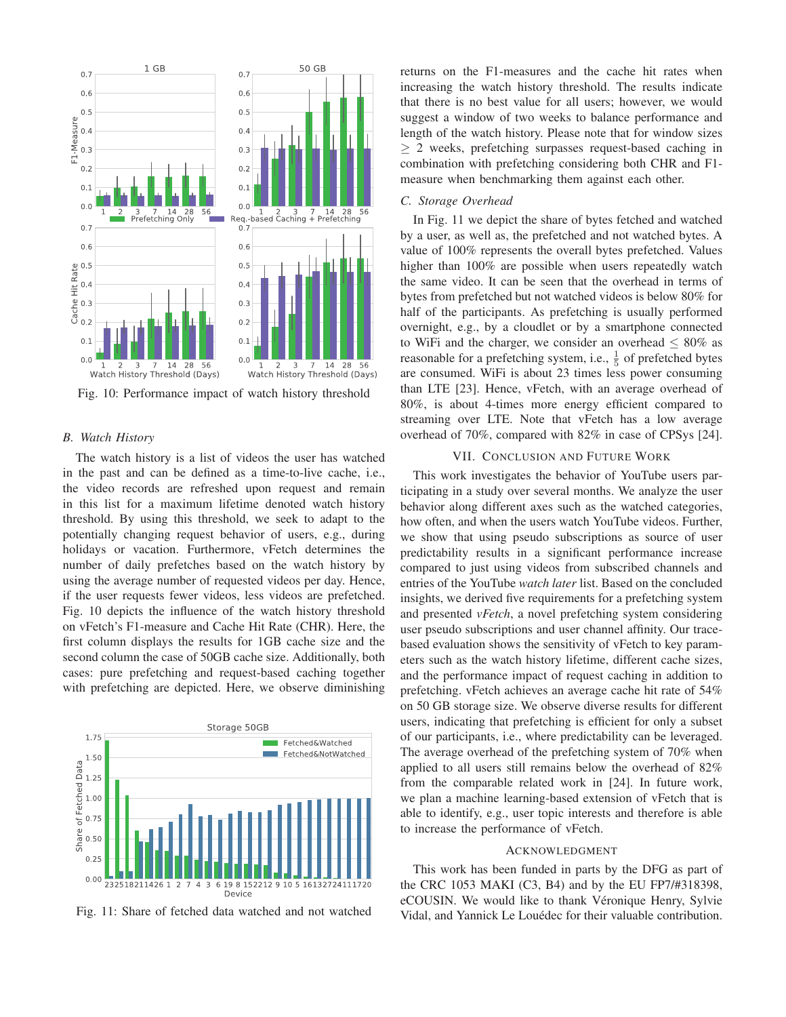

Fig. 10: Performance impact of watch history threshold

## *B. Watch History*

The watch history is a list of videos the user has watched in the past and can be defined as a time-to-live cache, i.e., the video records are refreshed upon request and remain in this list for a maximum lifetime denoted watch history threshold. By using this threshold, we seek to adapt to the potentially changing request behavior of users, e.g., during holidays or vacation. Furthermore, vFetch determines the number of daily prefetches based on the watch history by using the average number of requested videos per day. Hence, if the user requests fewer videos, less videos are prefetched. Fig. 10 depicts the influence of the watch history threshold on vFetch's F1-measure and Cache Hit Rate (CHR). Here, the first column displays the results for 1GB cache size and the second column the case of 50GB cache size. Additionally, both cases: pure prefetching and request-based caching together with prefetching are depicted. Here, we observe diminishing



Fig. 11: Share of fetched data watched and not watched

returns on the F1-measures and the cache hit rates when increasing the watch history threshold. The results indicate that there is no best value for all users; however, we would suggest a window of two weeks to balance performance and length of the watch history. Please note that for window sizes  $\geq$  2 weeks, prefetching surpasses request-based caching in combination with prefetching considering both CHR and F1 measure when benchmarking them against each other.

## *C. Storage Overhead*

In Fig. 11 we depict the share of bytes fetched and watched by a user, as well as, the prefetched and not watched bytes. A value of 100% represents the overall bytes prefetched. Values higher than 100% are possible when users repeatedly watch the same video. It can be seen that the overhead in terms of bytes from prefetched but not watched videos is below 80% for half of the participants. As prefetching is usually performed overnight, e.g., by a cloudlet or by a smartphone connected to WiFi and the charger, we consider an overhead  $\leq 80\%$  as reasonable for a prefetching system, i.e.,  $\frac{1}{5}$  of prefetched bytes are consumed. WiFi is about 23 times less power consuming than LTE [23]. Hence, vFetch, with an average overhead of 80%, is about 4-times more energy efficient compared to streaming over LTE. Note that vFetch has a low average overhead of 70%, compared with 82% in case of CPSys [24].

#### VII. CONCLUSION AND FUTURE WORK

This work investigates the behavior of YouTube users participating in a study over several months. We analyze the user behavior along different axes such as the watched categories, how often, and when the users watch YouTube videos. Further, we show that using pseudo subscriptions as source of user predictability results in a significant performance increase compared to just using videos from subscribed channels and entries of the YouTube *watch later* list. Based on the concluded insights, we derived five requirements for a prefetching system and presented *vFetch*, a novel prefetching system considering user pseudo subscriptions and user channel affinity. Our tracebased evaluation shows the sensitivity of vFetch to key parameters such as the watch history lifetime, different cache sizes, and the performance impact of request caching in addition to prefetching. vFetch achieves an average cache hit rate of 54% on 50 GB storage size. We observe diverse results for different users, indicating that prefetching is efficient for only a subset of our participants, i.e., where predictability can be leveraged. The average overhead of the prefetching system of 70% when applied to all users still remains below the overhead of 82% from the comparable related work in [24]. In future work, we plan a machine learning-based extension of vFetch that is able to identify, e.g., user topic interests and therefore is able to increase the performance of vFetch.

# ACKNOWLEDGMENT

This work has been funded in parts by the DFG as part of the CRC 1053 MAKI (C3, B4) and by the EU FP7/#318398, eCOUSIN. We would like to thank Véronique Henry, Sylvie Vidal, and Yannick Le Louédec for their valuable contribution.